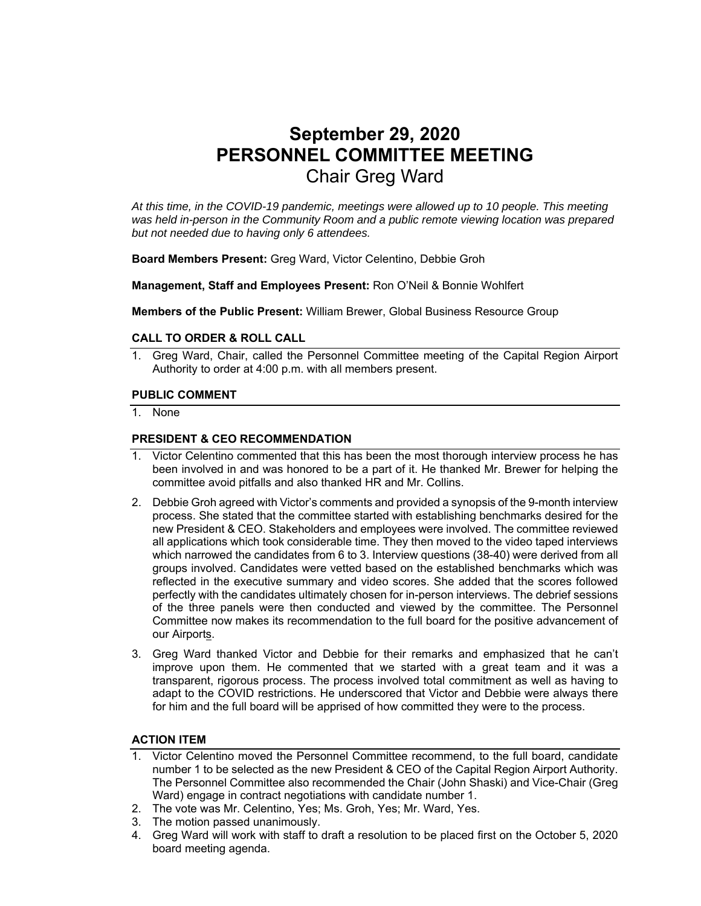# **September 29, 2020 PERSONNEL COMMITTEE MEETING**  Chair Greg Ward

*At this time, in the COVID-19 pandemic, meetings were allowed up to 10 people. This meeting was held in-person in the Community Room and a public remote viewing location was prepared but not needed due to having only 6 attendees.* 

**Board Members Present:** Greg Ward, Victor Celentino, Debbie Groh

**Management, Staff and Employees Present:** Ron O'Neil & Bonnie Wohlfert

**Members of the Public Present:** William Brewer, Global Business Resource Group

#### **CALL TO ORDER & ROLL CALL**

1. Greg Ward, Chair, called the Personnel Committee meeting of the Capital Region Airport Authority to order at 4:00 p.m. with all members present.

#### **PUBLIC COMMENT**

1. None

#### **PRESIDENT & CEO RECOMMENDATION**

- 1. Victor Celentino commented that this has been the most thorough interview process he has been involved in and was honored to be a part of it. He thanked Mr. Brewer for helping the committee avoid pitfalls and also thanked HR and Mr. Collins.
- 2. Debbie Groh agreed with Victor's comments and provided a synopsis of the 9-month interview process. She stated that the committee started with establishing benchmarks desired for the new President & CEO. Stakeholders and employees were involved. The committee reviewed all applications which took considerable time. They then moved to the video taped interviews which narrowed the candidates from 6 to 3. Interview questions (38-40) were derived from all groups involved. Candidates were vetted based on the established benchmarks which was reflected in the executive summary and video scores. She added that the scores followed perfectly with the candidates ultimately chosen for in-person interviews. The debrief sessions of the three panels were then conducted and viewed by the committee. The Personnel Committee now makes its recommendation to the full board for the positive advancement of our Airports.
- 3. Greg Ward thanked Victor and Debbie for their remarks and emphasized that he can't improve upon them. He commented that we started with a great team and it was a transparent, rigorous process. The process involved total commitment as well as having to adapt to the COVID restrictions. He underscored that Victor and Debbie were always there for him and the full board will be apprised of how committed they were to the process.

## **ACTION ITEM**

- 1. Victor Celentino moved the Personnel Committee recommend, to the full board, candidate number 1 to be selected as the new President & CEO of the Capital Region Airport Authority. The Personnel Committee also recommended the Chair (John Shaski) and Vice-Chair (Greg Ward) engage in contract negotiations with candidate number 1.
- 2. The vote was Mr. Celentino, Yes; Ms. Groh, Yes; Mr. Ward, Yes.
- 3. The motion passed unanimously.
- 4. Greg Ward will work with staff to draft a resolution to be placed first on the October 5, 2020 board meeting agenda.